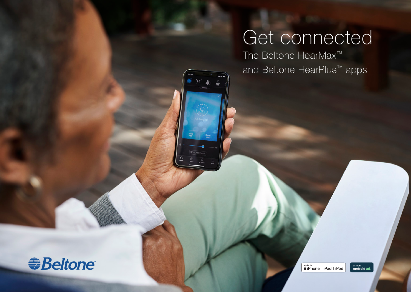# Get connected

The Beltone HearMax™ and Beltone HearPlus™ apps



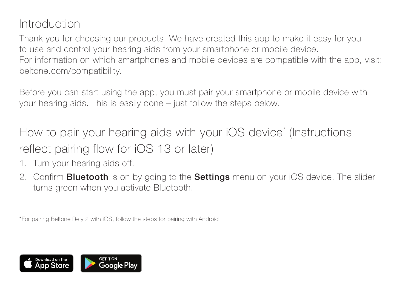### Introduction

Thank you for choosing our products. We have created this app to make it easy for you to use and control your hearing aids from your smartphone or mobile device. For information on which smartphones and mobile devices are compatible with the app, visit: beltone.com/compatibility.

Before you can start using the app, you must pair your smartphone or mobile device with your hearing aids. This is easily done – just follow the steps below.

How to pair your hearing aids with your iOS device\* (Instructions reflect pairing flow for iOS 13 or later)

- 1. Turn your hearing aids off.
- 2. Confirm **Bluetooth** is on by going to the **Settings** menu on your iOS device. The slider turns green when you activate Bluetooth.

\*For pairing Beltone Rely 2 with iOS, follow the steps for pairing with Android

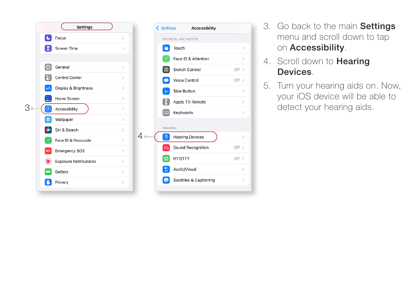



- 3. Go back to the main Settings menu and scroll down to tap on Accessibility.
- 4. Scroll down to **Hearing** Devices .
- 5. Turn your hearing aids on. Now, your iOS device will be able to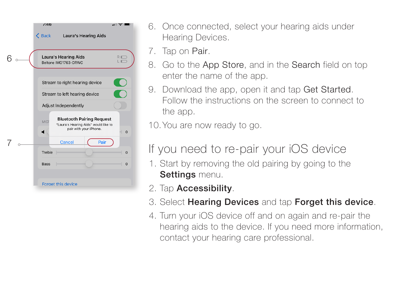

- 6. Once connected, select your hearing aids under Hearing Devices.
- 7. Tap on Pair .
- 8. Go to the App Store, and in the Search field on top enter the name of the app.
- 9. Download the app, open it and tap Get Started. Follow the instructions on the screen to connect to the app.

10.You are now ready to go.

### If you need to re-pair your iOS device

- 1. Start by removing the old pairing by going to the Settings menu.
- 2. Tap **Accessibility**.
- 3. Select Hearing Devices and tap Forget this device.
- 4. Turn your iOS device off and on again and re-pair the hearing aids to the device. If you need more information, contact your hearing care professional.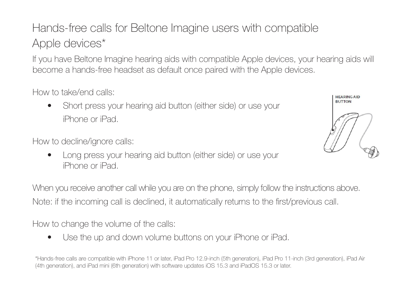## Hands-free calls for Beltone Imagine users with compatible Apple devices\*

If you have Beltone Imagine hearing aids with compatible Apple devices, your hearing aids will become a hands-free headset as default once paired with the Apple devices.

How to take/end calls:

• Short press your hearing aid button (either side) or use your iPhone or iPad.

How to decline/ignore calls:

• Long press your hearing aid button (either side) or use your iPhone or iPad.



When you receive another call while you are on the phone, simply follow the instructions above. Note: if the incoming call is declined, it automatically returns to the first/previous call.

How to change the volume of the calls:

• Use the up and down volume buttons on your iPhone or iPad.

\*Hands-free calls are compatible with iPhone 11 or later, iPad Pro 12.9-inch (5th generation), iPad Pro 11-inch (3rd generation), iPad Air (4th generation), and iPad mini (6th generation) with software updates iOS 15.3 and iPadOS 15.3 or later.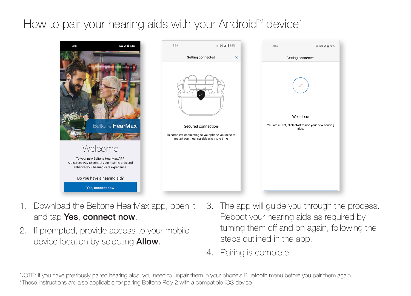### How to pair your hearing aids with your Android<sup>"</sup> device<sup>\*</sup>



- 1. Download the Beltone HearMax app, open it and tap Yes, connect now.
- 2. If prompted, provide access to your mobile device location by selecting **Allow**.
- 3. The app will guide you through the process. Reboot your hearing aids as required by turning them off and on again, following the steps outlined in the app.
- 4. Pairing is complete.

NOTE: If you have previously paired hearing aids, you need to unpair them in your phone's Bluetooth menu before you pair them again. \*These instructions are also applicable for pairing Beltone Rely 2 with a compatible iOS device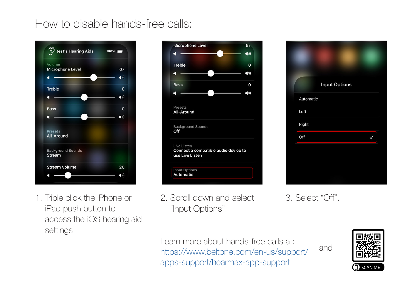### How to disable hands-free calls:



1. Triple click the iPhone or iPad push button to access the iOS hearing aid settings.

|             | Microphone Level                                                       | 6 <sub>1</sub>           |
|-------------|------------------------------------------------------------------------|--------------------------|
| п           |                                                                        | $\blacktriangleleft$ ()) |
| Treble      |                                                                        | $\Omega$                 |
| г           |                                                                        | $\blacktriangleleft$ :)) |
| <b>Bass</b> |                                                                        | $\mathbf 0$              |
| п           |                                                                        | $\blacktriangleleft$ 1)  |
| Presets     | All-Around                                                             |                          |
| Off         | <b>Background Sounds</b>                                               |                          |
|             | Live Listen<br>Connect a compatible audio device to<br>use Live Listen |                          |
|             | <b>Input Options</b><br>Automatic                                      |                          |
|             |                                                                        |                          |

2. Scroll down and select "Input Options".



3. Select "Off".

and

Learn more about hands-free calls at: https://www.beltone.com/en-us/support/ apps-support/hearmax-app-support